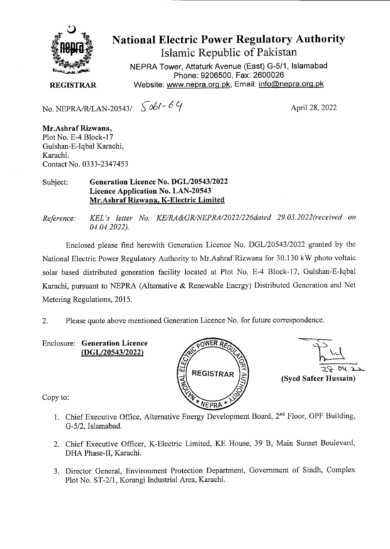

National Electric Power Regulatory Authority Islamic Republic of Pakistan

NEPRA Tower, Attaturk Avenue (East) G-511, Islamabad Phone: 9206500, Fax: 2600026 **REGISTRAR Website: www.nepra.org.pk, Email: info@nepra.org.pk** 

No. NEPRA/R/LAN-20543/  $\int \delta \phi$ / - 6  $\gamma$  April 28, 2022

**Mr.Ashraf Rizwana,**  Plot No. E-4 Block-17 Gulshan-E-Iqba1 Karachi, Karachi. Contact No. 0333-2347453

Subject: **Generation Licence No.** *DGL12054312022*  **Licence Application No. LAN-20543 Mr.Ashraf Rizwana, K-Electric Limited** 

*Reference. KEL 's letter No. KE/RA&GR/NEPRA/2022/226dated 29.03. 2022'received on 04.04.2022).* 

Enclosed please find herewith Generation Licence No. DGL/20543!2022 granted by the National Electric Power Regulatory Authority to Mr.Ashraf Rizwana for 30.130 kW photo voltaic solar based distributed generation facility located at Plot No. E-4 Block-17, Gulshan-E-Iqba1 Karachi, pursuant to NEPRA (Alternative & Renewable Energy) Distributed Generation and Net Metering Regulations, 2015.

2. Please quote above mentioned Generation Licence No. for future correspondence.

Enclosure: **Generation Licence (DGL/20543/2022)** 



**REGISTRAR**  $\begin{pmatrix} 2 \\ 2 \\ 3 \end{pmatrix}$  (Syed Safeer Hussain)  $22$ 

Copy to:

- 1. Chief Executive Office, Alternative Energy Development Board, 2<sup>nd</sup> Floor, OPF Building, G-5/2, Islamabad.
- 2. Chief Executive Officer, K-Electric Limited, KE House, 39 B, Main Sunset Boulevard, DHA Phase-II, Karachi.
- 3. Director General, Environment Protection Department, Government of Sindh, Complex Plot No. ST-2/1, Korangi Industrial Area, Karachi.